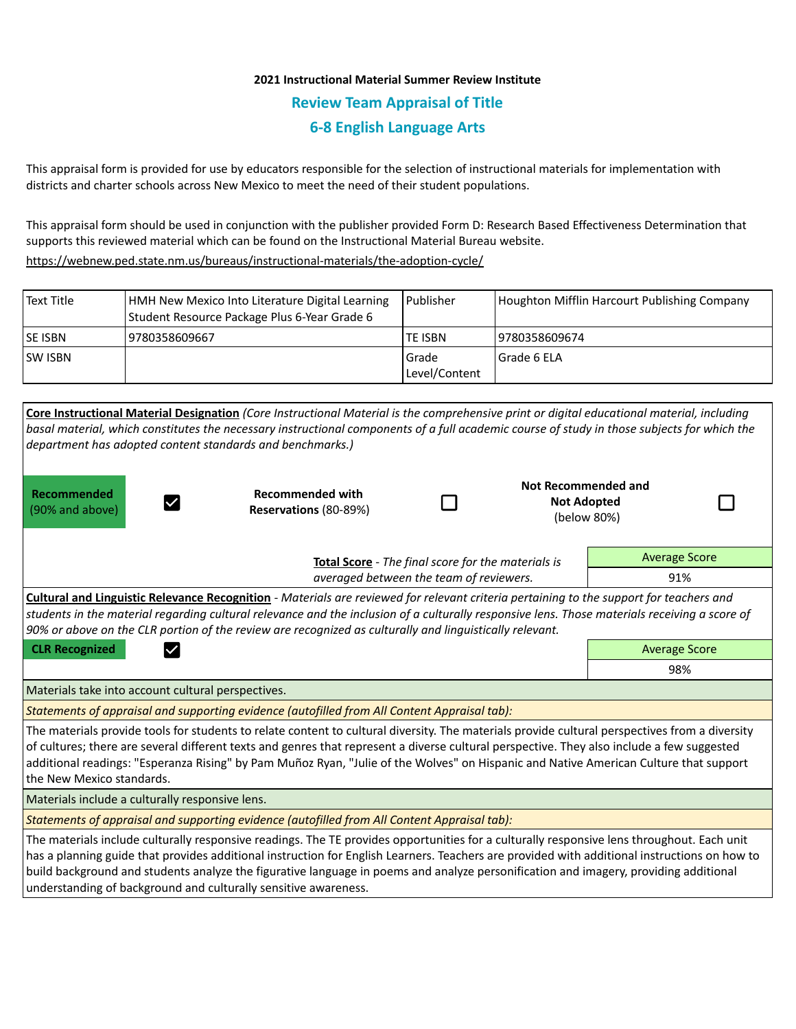## **2021 Instructional Material Summer Review Institute Review Team Appraisal of Title 6-8 English Language Arts**

This appraisal form is provided for use by educators responsible for the selection of instructional materials for implementation with districts and charter schools across New Mexico to meet the need of their student populations.

This appraisal form should be used in conjunction with the publisher provided Form D: Research Based Effectiveness Determination that supports this reviewed material which can be found on the Instructional Material Bureau website.

<https://webnew.ped.state.nm.us/bureaus/instructional-materials/the-adoption-cycle/>

| Text Title     | HMH New Mexico Into Literature Digital Learning<br>Student Resource Package Plus 6-Year Grade 6 | 1 Publisher              | <b>Houghton Mifflin Harcourt Publishing Company</b> |
|----------------|-------------------------------------------------------------------------------------------------|--------------------------|-----------------------------------------------------|
| <b>SE ISBN</b> | 9780358609667                                                                                   | TE ISBN                  | 19780358609674                                      |
| <b>SW ISBN</b> |                                                                                                 | l Grade<br>Level/Content | l Grade 6 ELA                                       |

| Core Instructional Material Designation (Core Instructional Material is the comprehensive print or digital educational material, including<br>basal material, which constitutes the necessary instructional components of a full academic course of study in those subjects for which the<br>department has adopted content standards and benchmarks.)                                                                                                                                                |                                                  |  |                                                                 |                      |                      |  |  |  |
|-------------------------------------------------------------------------------------------------------------------------------------------------------------------------------------------------------------------------------------------------------------------------------------------------------------------------------------------------------------------------------------------------------------------------------------------------------------------------------------------------------|--------------------------------------------------|--|-----------------------------------------------------------------|----------------------|----------------------|--|--|--|
| <b>Recommended</b><br>(90% and above)                                                                                                                                                                                                                                                                                                                                                                                                                                                                 | <b>Recommended with</b><br>Reservations (80-89%) |  | <b>Not Recommended and</b><br><b>Not Adopted</b><br>(below 80%) |                      |                      |  |  |  |
| Total Score - The final score for the materials is                                                                                                                                                                                                                                                                                                                                                                                                                                                    |                                                  |  |                                                                 |                      | <b>Average Score</b> |  |  |  |
| averaged between the team of reviewers.                                                                                                                                                                                                                                                                                                                                                                                                                                                               |                                                  |  |                                                                 | 91%                  |                      |  |  |  |
| Cultural and Linguistic Relevance Recognition - Materials are reviewed for relevant criteria pertaining to the support for teachers and<br>students in the material regarding cultural relevance and the inclusion of a culturally responsive lens. Those materials receiving a score of<br>90% or above on the CLR portion of the review are recognized as culturally and linguistically relevant.                                                                                                   |                                                  |  |                                                                 |                      |                      |  |  |  |
| <b>CLR Recognized</b>                                                                                                                                                                                                                                                                                                                                                                                                                                                                                 |                                                  |  |                                                                 | <b>Average Score</b> |                      |  |  |  |
|                                                                                                                                                                                                                                                                                                                                                                                                                                                                                                       |                                                  |  |                                                                 | 98%                  |                      |  |  |  |
| Materials take into account cultural perspectives.                                                                                                                                                                                                                                                                                                                                                                                                                                                    |                                                  |  |                                                                 |                      |                      |  |  |  |
| Statements of appraisal and supporting evidence (autofilled from All Content Appraisal tab):                                                                                                                                                                                                                                                                                                                                                                                                          |                                                  |  |                                                                 |                      |                      |  |  |  |
| The materials provide tools for students to relate content to cultural diversity. The materials provide cultural perspectives from a diversity<br>of cultures; there are several different texts and genres that represent a diverse cultural perspective. They also include a few suggested<br>additional readings: "Esperanza Rising" by Pam Muñoz Ryan, "Julie of the Wolves" on Hispanic and Native American Culture that support<br>the New Mexico standards.                                    |                                                  |  |                                                                 |                      |                      |  |  |  |
| Materials include a culturally responsive lens.                                                                                                                                                                                                                                                                                                                                                                                                                                                       |                                                  |  |                                                                 |                      |                      |  |  |  |
| Statements of appraisal and supporting evidence (autofilled from All Content Appraisal tab):                                                                                                                                                                                                                                                                                                                                                                                                          |                                                  |  |                                                                 |                      |                      |  |  |  |
| The materials include culturally responsive readings. The TE provides opportunities for a culturally responsive lens throughout. Each unit<br>has a planning guide that provides additional instruction for English Learners. Teachers are provided with additional instructions on how to<br>build background and students analyze the figurative language in poems and analyze personification and imagery, providing additional<br>understanding of background and culturally sensitive awareness. |                                                  |  |                                                                 |                      |                      |  |  |  |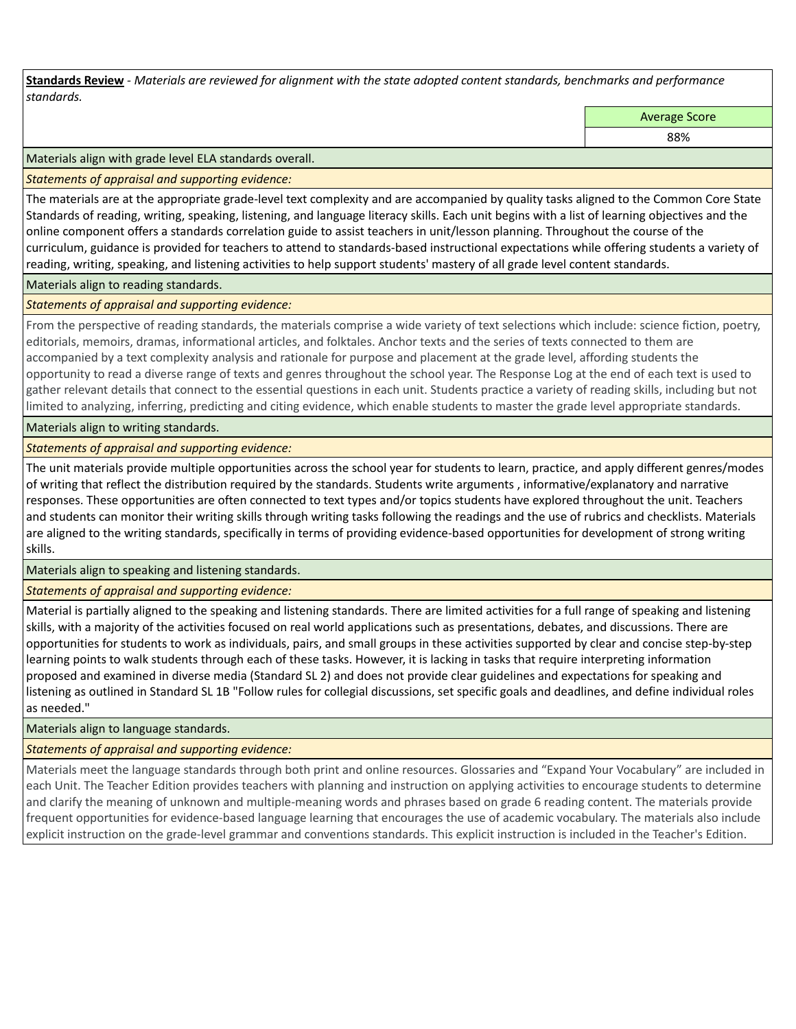**Standards Review** *- Materials are reviewed for alignment with the state adopted content standards, benchmarks and performance standards.*

Average Score

88%

Materials align with grade level ELA standards overall.

*Statements of appraisal and supporting evidence:* 

The materials are at the appropriate grade-level text complexity and are accompanied by quality tasks aligned to the Common Core State Standards of reading, writing, speaking, listening, and language literacy skills. Each unit begins with a list of learning objectives and the online component offers a standards correlation guide to assist teachers in unit/lesson planning. Throughout the course of the curriculum, guidance is provided for teachers to attend to standards-based instructional expectations while offering students a variety of reading, writing, speaking, and listening activities to help support students' mastery of all grade level content standards.

Materials align to reading standards.

*Statements of appraisal and supporting evidence:* 

From the perspective of reading standards, the materials comprise a wide variety of text selections which include: science fiction, poetry, editorials, memoirs, dramas, informational articles, and folktales. Anchor texts and the series of texts connected to them are accompanied by a text complexity analysis and rationale for purpose and placement at the grade level, affording students the opportunity to read a diverse range of texts and genres throughout the school year. The Response Log at the end of each text is used to gather relevant details that connect to the essential questions in each unit. Students practice a variety of reading skills, including but not limited to analyzing, inferring, predicting and citing evidence, which enable students to master the grade level appropriate standards.

Materials align to writing standards.

*Statements of appraisal and supporting evidence:* 

The unit materials provide multiple opportunities across the school year for students to learn, practice, and apply different genres/modes of writing that reflect the distribution required by the standards. Students write arguments , informative/explanatory and narrative responses. These opportunities are often connected to text types and/or topics students have explored throughout the unit. Teachers and students can monitor their writing skills through writing tasks following the readings and the use of rubrics and checklists. Materials are aligned to the writing standards, specifically in terms of providing evidence-based opportunities for development of strong writing skills.

Materials align to speaking and listening standards.

*Statements of appraisal and supporting evidence:* 

Material is partially aligned to the speaking and listening standards. There are limited activities for a full range of speaking and listening skills, with a majority of the activities focused on real world applications such as presentations, debates, and discussions. There are opportunities for students to work as individuals, pairs, and small groups in these activities supported by clear and concise step-by-step learning points to walk students through each of these tasks. However, it is lacking in tasks that require interpreting information proposed and examined in diverse media (Standard SL 2) and does not provide clear guidelines and expectations for speaking and listening as outlined in Standard SL 1B "Follow rules for collegial discussions, set specific goals and deadlines, and define individual roles as needed."

Materials align to language standards.

*Statements of appraisal and supporting evidence:* 

Materials meet the language standards through both print and online resources. Glossaries and "Expand Your Vocabulary" are included in each Unit. The Teacher Edition provides teachers with planning and instruction on applying activities to encourage students to determine and clarify the meaning of unknown and multiple-meaning words and phrases based on grade 6 reading content. The materials provide frequent opportunities for evidence-based language learning that encourages the use of academic vocabulary. The materials also include explicit instruction on the grade-level grammar and conventions standards. This explicit instruction is included in the Teacher's Edition.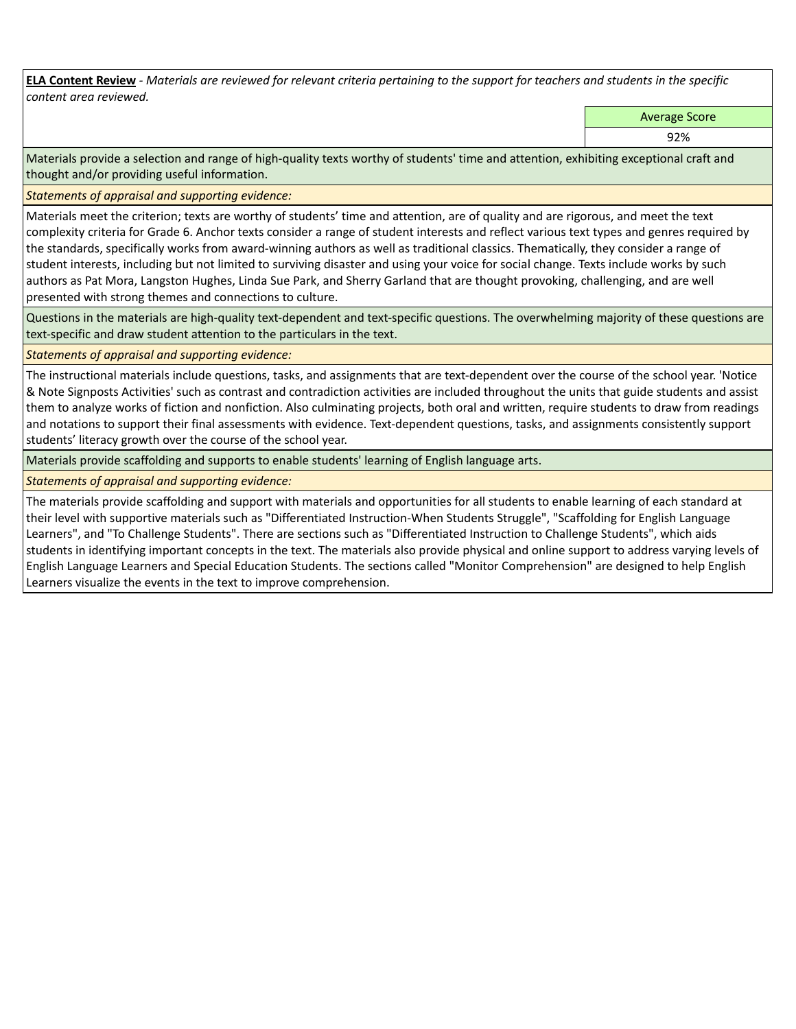**ELA Content Review** *- Materials are reviewed for relevant criteria pertaining to the support for teachers and students in the specific content area reviewed.*

Average Score

92%

Materials provide a selection and range of high-quality texts worthy of students' time and attention, exhibiting exceptional craft and thought and/or providing useful information.

*Statements of appraisal and supporting evidence:* 

Materials meet the criterion; texts are worthy of students' time and attention, are of quality and are rigorous, and meet the text complexity criteria for Grade 6. Anchor texts consider a range of student interests and reflect various text types and genres required by the standards, specifically works from award-winning authors as well as traditional classics. Thematically, they consider a range of student interests, including but not limited to surviving disaster and using your voice for social change. Texts include works by such authors as Pat Mora, Langston Hughes, Linda Sue Park, and Sherry Garland that are thought provoking, challenging, and are well presented with strong themes and connections to culture.

Questions in the materials are high-quality text-dependent and text-specific questions. The overwhelming majority of these questions are text-specific and draw student attention to the particulars in the text.

*Statements of appraisal and supporting evidence:* 

The instructional materials include questions, tasks, and assignments that are text-dependent over the course of the school year. 'Notice & Note Signposts Activities' such as contrast and contradiction activities are included throughout the units that guide students and assist them to analyze works of fiction and nonfiction. Also culminating projects, both oral and written, require students to draw from readings and notations to support their final assessments with evidence. Text-dependent questions, tasks, and assignments consistently support students' literacy growth over the course of the school year.

Materials provide scaffolding and supports to enable students' learning of English language arts.

*Statements of appraisal and supporting evidence:* 

The materials provide scaffolding and support with materials and opportunities for all students to enable learning of each standard at their level with supportive materials such as "Differentiated Instruction-When Students Struggle", "Scaffolding for English Language Learners", and "To Challenge Students". There are sections such as "Differentiated Instruction to Challenge Students", which aids students in identifying important concepts in the text. The materials also provide physical and online support to address varying levels of English Language Learners and Special Education Students. The sections called "Monitor Comprehension" are designed to help English Learners visualize the events in the text to improve comprehension.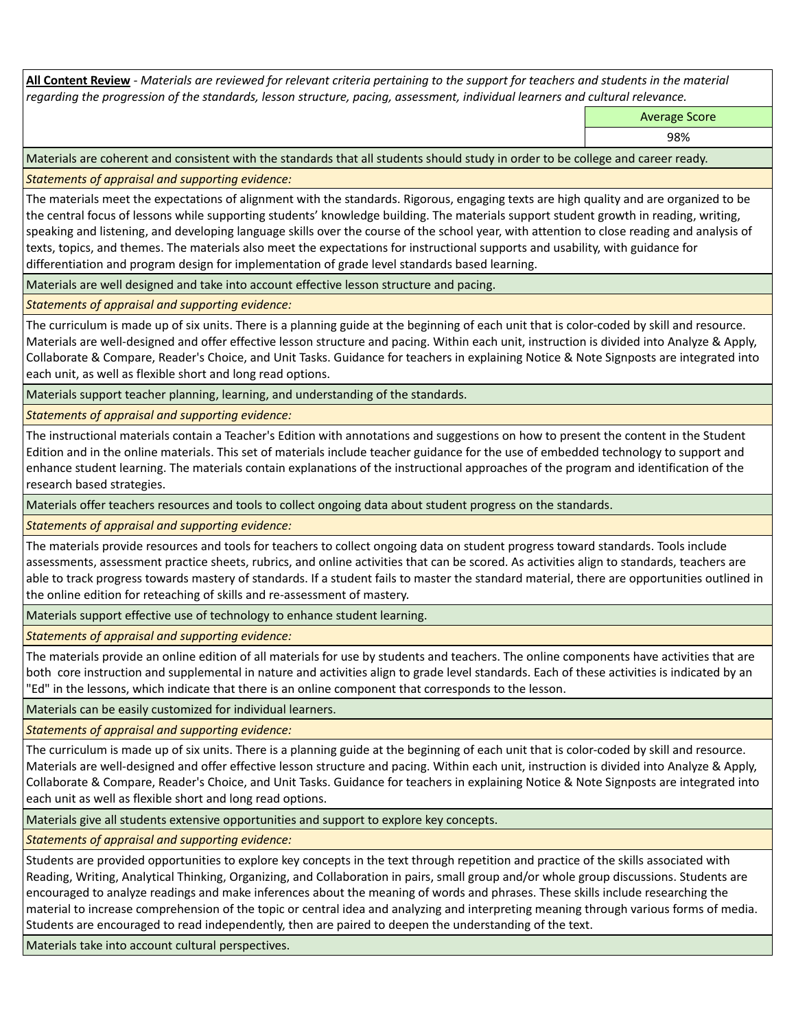**All Content Review** *- Materials are reviewed for relevant criteria pertaining to the support for teachers and students in the material regarding the progression of the standards, lesson structure, pacing, assessment, individual learners and cultural relevance.*

Average Score

98%

Materials are coherent and consistent with the standards that all students should study in order to be college and career ready.

*Statements of appraisal and supporting evidence:*

The materials meet the expectations of alignment with the standards. Rigorous, engaging texts are high quality and are organized to be the central focus of lessons while supporting students' knowledge building. The materials support student growth in reading, writing, speaking and listening, and developing language skills over the course of the school year, with attention to close reading and analysis of texts, topics, and themes. The materials also meet the expectations for instructional supports and usability, with guidance for differentiation and program design for implementation of grade level standards based learning.

Materials are well designed and take into account effective lesson structure and pacing.

*Statements of appraisal and supporting evidence:*

The curriculum is made up of six units. There is a planning guide at the beginning of each unit that is color-coded by skill and resource. Materials are well-designed and offer effective lesson structure and pacing. Within each unit, instruction is divided into Analyze & Apply, Collaborate & Compare, Reader's Choice, and Unit Tasks. Guidance for teachers in explaining Notice & Note Signposts are integrated into each unit, as well as flexible short and long read options.

Materials support teacher planning, learning, and understanding of the standards.

*Statements of appraisal and supporting evidence:*

The instructional materials contain a Teacher's Edition with annotations and suggestions on how to present the content in the Student Edition and in the online materials. This set of materials include teacher guidance for the use of embedded technology to support and enhance student learning. The materials contain explanations of the instructional approaches of the program and identification of the research based strategies.

Materials offer teachers resources and tools to collect ongoing data about student progress on the standards.

*Statements of appraisal and supporting evidence:*

The materials provide resources and tools for teachers to collect ongoing data on student progress toward standards. Tools include assessments, assessment practice sheets, rubrics, and online activities that can be scored. As activities align to standards, teachers are able to track progress towards mastery of standards. If a student fails to master the standard material, there are opportunities outlined in the online edition for reteaching of skills and re-assessment of mastery.

Materials support effective use of technology to enhance student learning.

*Statements of appraisal and supporting evidence:*

The materials provide an online edition of all materials for use by students and teachers. The online components have activities that are both core instruction and supplemental in nature and activities align to grade level standards. Each of these activities is indicated by an "Ed" in the lessons, which indicate that there is an online component that corresponds to the lesson.

Materials can be easily customized for individual learners.

*Statements of appraisal and supporting evidence:* 

The curriculum is made up of six units. There is a planning guide at the beginning of each unit that is color-coded by skill and resource. Materials are well-designed and offer effective lesson structure and pacing. Within each unit, instruction is divided into Analyze & Apply, Collaborate & Compare, Reader's Choice, and Unit Tasks. Guidance for teachers in explaining Notice & Note Signposts are integrated into each unit as well as flexible short and long read options.

Materials give all students extensive opportunities and support to explore key concepts.

*Statements of appraisal and supporting evidence:*

Students are provided opportunities to explore key concepts in the text through repetition and practice of the skills associated with Reading, Writing, Analytical Thinking, Organizing, and Collaboration in pairs, small group and/or whole group discussions. Students are encouraged to analyze readings and make inferences about the meaning of words and phrases. These skills include researching the material to increase comprehension of the topic or central idea and analyzing and interpreting meaning through various forms of media. Students are encouraged to read independently, then are paired to deepen the understanding of the text.

Materials take into account cultural perspectives.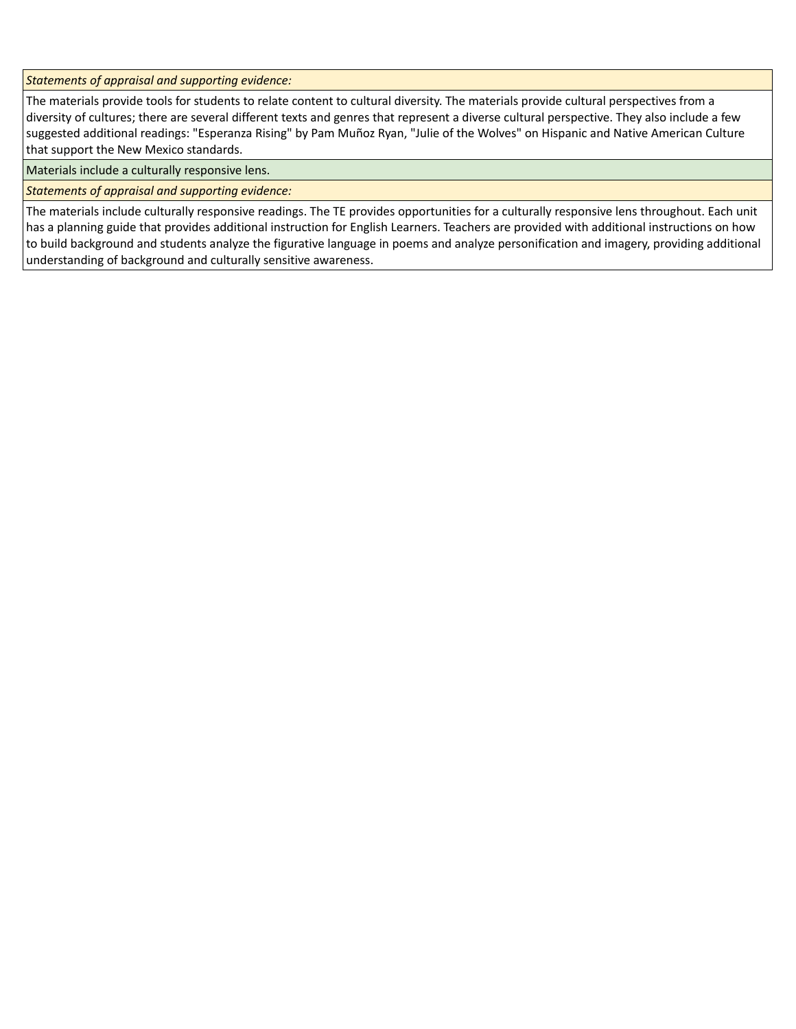*Statements of appraisal and supporting evidence:*

The materials provide tools for students to relate content to cultural diversity. The materials provide cultural perspectives from a diversity of cultures; there are several different texts and genres that represent a diverse cultural perspective. They also include a few suggested additional readings: "Esperanza Rising" by Pam Muñoz Ryan, "Julie of the Wolves" on Hispanic and Native American Culture that support the New Mexico standards.

Materials include a culturally responsive lens.

*Statements of appraisal and supporting evidence:*

The materials include culturally responsive readings. The TE provides opportunities for a culturally responsive lens throughout. Each unit has a planning guide that provides additional instruction for English Learners. Teachers are provided with additional instructions on how to build background and students analyze the figurative language in poems and analyze personification and imagery, providing additional understanding of background and culturally sensitive awareness.